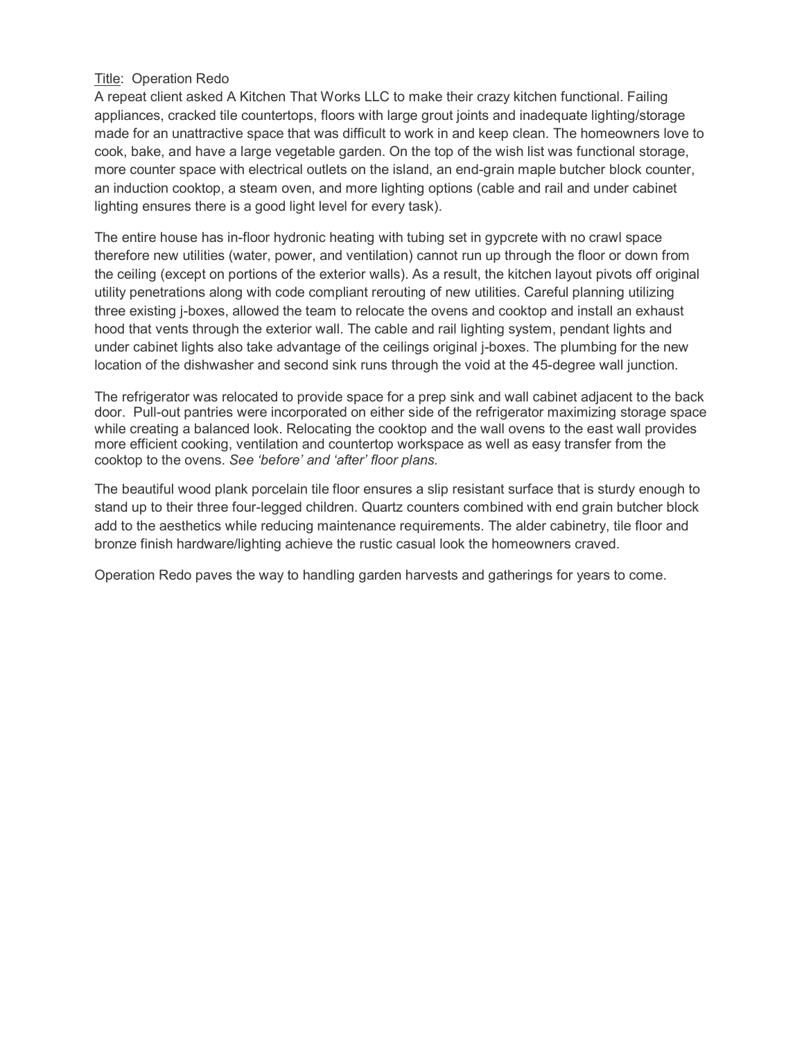## Title: Operation Redo

A repeat client asked A Kitchen That Works LLC to make their crazy kitchen functional. Failing appliances, cracked tile countertops, floors with large grout joints and inadequate lighting/storage made for an unattractive space that was difficult to work in and keep clean. The homeowners love to cook, bake, and have a large vegetable garden. On the top of the wish list was functional storage, more counter space with electrical outlets on the island, an end-grain maple butcher block counter, an induction cooktop, a steam oven, and more lighting options (cable and rail and under cabinet lighting ensures there is a good light level for every task).

The entire house has in-floor hydronic heating with tubing set in gypcrete with no crawl space therefore new utilities (water, power, and ventilation) cannot run up through the floor or down from the ceiling (except on portions of the exterior walls). As a result, the kitchen layout pivots off original utility penetrations along with code compliant rerouting of new utilities. Careful planning utilizing three existing j-boxes, allowed the team to relocate the ovens and cooktop and install an exhaust hood that vents through the exterior wall. The cable and rail lighting system, pendant lights and under cabinet lights also take advantage of the ceilings original j-boxes. The plumbing for the new location of the dishwasher and second sink runs through the void at the 45-degree wall junction.

The refrigerator was relocated to provide space for a prep sink and wall cabinet adjacent to the back door. Pull-out pantries were incorporated on either side of the refrigerator maximizing storage space while creating a balanced look. Relocating the cooktop and the wall ovens to the east wall provides more efficient cooking, ventilation and countertop workspace as well as easy transfer from the cooktop to the ovens. *See 'before' and 'after' floor plans.*

The beautiful wood plank porcelain tile floor ensures a slip resistant surface that is sturdy enough to stand up to their three four-legged children. Quartz counters combined with end grain butcher block add to the aesthetics while reducing maintenance requirements. The alder cabinetry, tile floor and bronze finish hardware/lighting achieve the rustic casual look the homeowners craved.

Operation Redo paves the way to handling garden harvests and gatherings for years to come.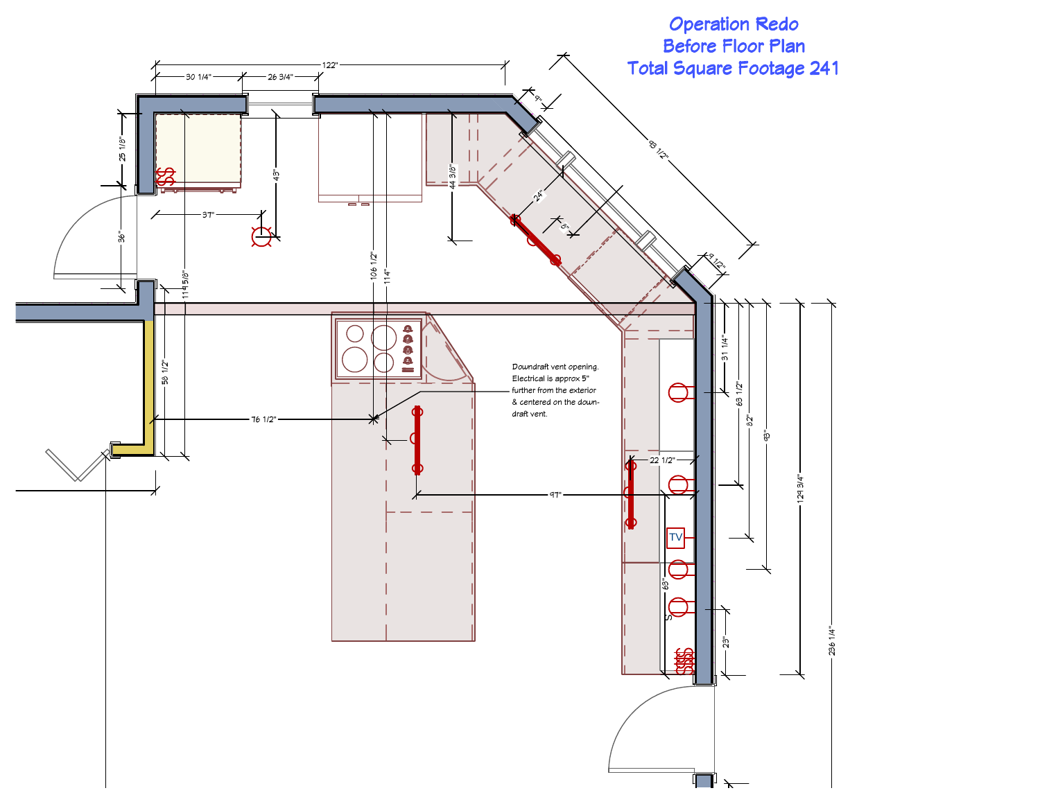